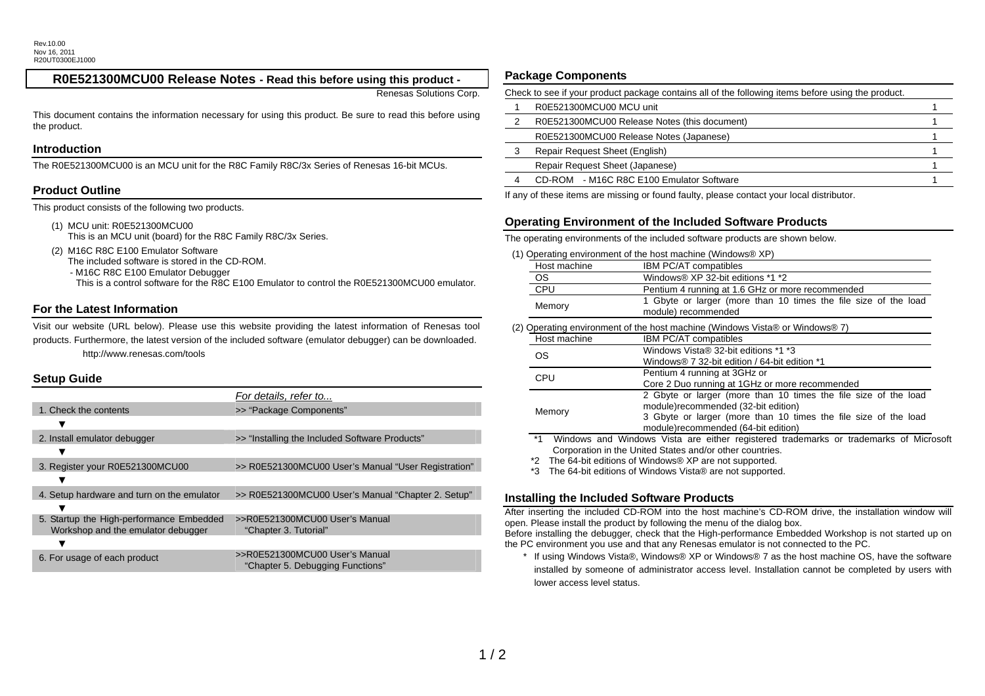# **R0E521300MCU00 Release Notes - Read this before using this product -**

Renesas Solutions Corp.

This document contains the information necessary for using this product. Be sure to read this before using the product.

#### **Introduction**

The R0E521300MCU00 is an MCU unit for the R8C Family R8C/3x Series of Renesas 16-bit MCUs.

## **Product Outline**

This product consists of the following two products.

- (1) MCU unit: R0E521300MCU00 This is an MCU unit (board) for the R8C Family R8C/3x Series.
- (2) M16C R8C E100 Emulator Software The included software is stored in the CD-ROM.
	-

- M16C R8C E100 Emulator Debugger

This is a control software for the R8C E100 Emulator to control the R0E521300MCU00 emulator.

#### **For the Latest Information**

Visit our website (URL below). Please use this website providing the latest information of Renesas tool products. Furthermore, the latest version of the included software (emulator debugger) can be downloaded. http://www.renesas.com/tools

### **Setup Guide**

|                                            | For details, refer to                               |
|--------------------------------------------|-----------------------------------------------------|
| 1. Check the contents                      | >> "Package Components"                             |
|                                            |                                                     |
| 2. Install emulator debugger               | >> "Installing the Included Software Products"      |
|                                            |                                                     |
| 3. Register your R0E521300MCU00            | >> R0E521300MCU00 User's Manual "User Registration" |
|                                            |                                                     |
| 4. Setup hardware and turn on the emulator | >> R0E521300MCU00 User's Manual "Chapter 2. Setup"  |
|                                            |                                                     |
| 5. Startup the High-performance Embedded   | >>R0E521300MCU00 User's Manual                      |
| Workshop and the emulator debugger         | "Chapter 3. Tutorial"                               |
|                                            | >>R0E521300MCU00 User's Manual                      |
| 6. For usage of each product               | "Chapter 5. Debugging Functions"                    |

## **Package Components**

| Check to see if your product package contains all of the following items before using the product. |  |  |
|----------------------------------------------------------------------------------------------------|--|--|
| R0E521300MCU00 MCU unit                                                                            |  |  |
| R0E521300MCU00 Release Notes (this document)                                                       |  |  |
| R0E521300MCU00 Release Notes (Japanese)                                                            |  |  |
| Repair Request Sheet (English)                                                                     |  |  |
| Repair Request Sheet (Japanese)                                                                    |  |  |
| CD-ROM - M16C R8C E100 Emulator Software                                                           |  |  |
|                                                                                                    |  |  |

If any of these items are missing or found faulty, please contact your local distributor.

### **Operating Environment of the Included Software Products**

The operating environments of the included software products are shown below.

(1) Operating environment of the host machine (Windows® XP)

| Host machine                                                                 | IBM PC/AT compatibles                                                                  |  |
|------------------------------------------------------------------------------|----------------------------------------------------------------------------------------|--|
| OS.                                                                          | Windows® XP 32-bit editions *1 *2                                                      |  |
| <b>CPU</b>                                                                   | Pentium 4 running at 1.6 GHz or more recommended                                       |  |
| Memory                                                                       | 1 Gbyte or larger (more than 10 times the file size of the load<br>module) recommended |  |
| (2) Operating environment of the host machine (Windows Vista® or Windows® 7) |                                                                                        |  |
| Host machine                                                                 | <b>IBM PC/AT compatibles</b>                                                           |  |
| OS                                                                           | Windows Vista® 32-bit editions *1 *3                                                   |  |
|                                                                              | Windows® 7 32-bit edition / 64-bit edition *1                                          |  |
| CPU                                                                          | Pentium 4 running at 3GHz or                                                           |  |
|                                                                              | Core 2 Duo running at 1GHz or more recommended                                         |  |
|                                                                              | 2 Gbyte or larger (more than 10 times the file size of the load                        |  |
|                                                                              |                                                                                        |  |

- Memory module)recommended (32-bit edition) 3 Gbyte or larger (more than 10 times the file size of the load module)recommended (64-bit edition)
- \*1 Windows and Windows Vista are either registered trademarks or trademarks of Microsoft Corporation in the United States and/or other countries.
- \*2 The 64-bit editions of Windows® XP are not supported.

\*3 The 64-bit editions of Windows Vista® are not supported.

#### **Installing the Included Software Products**

After inserting the included CD-ROM into the host machine's CD-ROM drive, the installation window will open. Please install the product by following the menu of the dialog box.

Before installing the debugger, check that the High-performance Embedded Workshop is not started up on the PC environment you use and that any Renesas emulator is not connected to the PC.

If using Windows Vista®, Windows® XP or Windows® 7 as the host machine OS, have the software installed by someone of administrator access level. Installation cannot be completed by users with lower access level status.